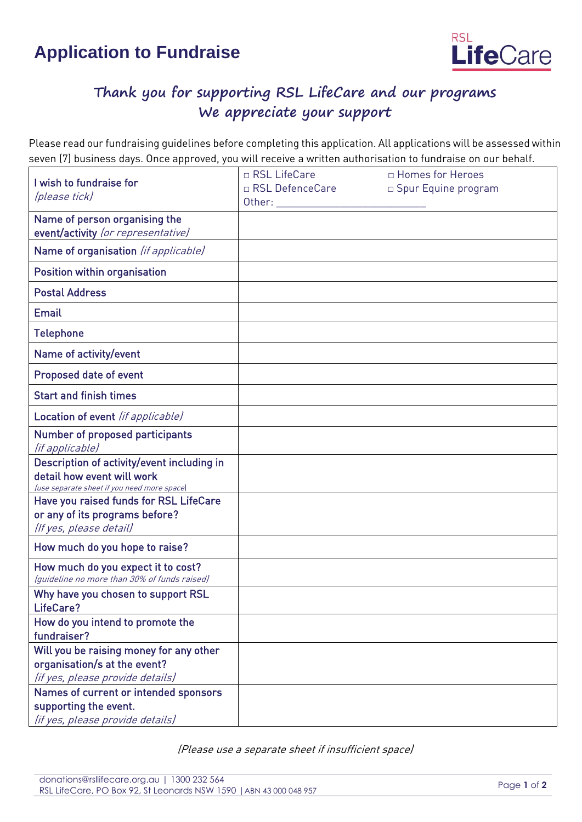## **Application to Fundraise**



## **Thank you for supporting RSL LifeCare and our programs We appreciate your support**

Please read our fundraising guidelines before completing this application. All applications will be assessed within seven (7) business days. Once approved, you will receive a written authorisation to fundraise on our behalf.

| I wish to fundraise for<br>(please tick)                                                                                | □ RSL LifeCare    | □ Homes for Heroes    |
|-------------------------------------------------------------------------------------------------------------------------|-------------------|-----------------------|
|                                                                                                                         | □ RSL DefenceCare | □ Spur Equine program |
| Name of person organising the<br>event/activity (or representative)                                                     |                   |                       |
| Name of organisation (if applicable)                                                                                    |                   |                       |
| <b>Position within organisation</b>                                                                                     |                   |                       |
| <b>Postal Address</b>                                                                                                   |                   |                       |
| <b>Email</b>                                                                                                            |                   |                       |
| <b>Telephone</b>                                                                                                        |                   |                       |
| Name of activity/event                                                                                                  |                   |                       |
| <b>Proposed date of event</b>                                                                                           |                   |                       |
| <b>Start and finish times</b>                                                                                           |                   |                       |
| Location of event (if applicable)                                                                                       |                   |                       |
| <b>Number of proposed participants</b><br>(if applicable)                                                               |                   |                       |
| Description of activity/event including in<br>detail how event will work<br>(use separate sheet if you need more space) |                   |                       |
| Have you raised funds for RSL LifeCare<br>or any of its programs before?<br>(If yes, please detail)                     |                   |                       |
| How much do you hope to raise?                                                                                          |                   |                       |
| How much do you expect it to cost?<br>(quideline no more than 30% of funds raised)                                      |                   |                       |
| Why have you chosen to support RSL<br>LifeCare?                                                                         |                   |                       |
| How do you intend to promote the<br>fundraiser?                                                                         |                   |                       |
| Will you be raising money for any other<br>organisation/s at the event?<br>(if yes, please provide details)             |                   |                       |
| Names of current or intended sponsors<br>supporting the event.<br>(if yes, please provide details)                      |                   |                       |

(Please use a separate sheet if insufficient space)